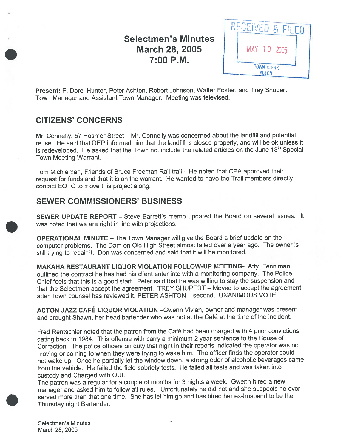# Selectmen's Minutes March 28, 2005 7:00 P.M.



Present: F. Dore' Hunter, Peter Ashton, Robert Johnson, Walter Foster, and Trey Shupert Town Manager and Assistant Town Manager. Meeting was televised.

# CITIZENS' CONCERNS

Mr. Connelly, <sup>57</sup> Hosmer Street — Mr. Connelly was concerned about the landfill and potential reuse. He said that DEP informed him that the landfill is closed properly, and will be ok unless it is redeveloped. He asked that the Town not include the related articles on the June 13<sup>th</sup> Special Town Meeting Warrant.

Tom Michleman, Friends of Bruce Freeman Rail trail — He noted that CPA approved their reques<sup>t</sup> for funds and that it is on the warrant. He wanted to have the Trail members directly contact EOTC to move this project along.

# SEWER COMMISSIONERS' BUSINESS

SEWER UPDATE REPORT —.Steve Barrett's memo updated the Board on several issues. It was noted that we are right in line with projections.

OPERATIONAL MINUTE — The Town Manager will <sup>g</sup>ive the Board <sup>a</sup> brief update on the computer problems. The Dam on Old High Street almost failed over <sup>a</sup> year ago. The owner is still trying to repair it. Don was concerned and said that it will be monitored.

MAKAHA RESTAURANT LIQUOR VIOLATION FOLLOW-UP MEETING- Atty. Fenniman outlined the contract he has had his client enter into with <sup>a</sup> monitoring company. The Police Chief feels that this is <sup>a</sup> goo<sup>d</sup> start. Peter said that he was willing to stay the suspension and that the Selectmen accep<sup>t</sup> the agreement. TREY SHUPERT — Moved to accep<sup>t</sup> the agreemen<sup>t</sup> after Town counsel has reviewed it. PETER ASHTON — second. UNANIMOUS VOTE.

ACTON JAZZ CAFÉ LIQUOR VIOLATION —Gwenn Vivian, owner and manager was presen<sup>t</sup> and brought Shawn, her head bartender who was not at the Café at the time of the incident.

Fred Rentschler noted that the patron from the Café had been charged with <sup>4</sup> prior convictions dating back to 1984. This offense with carry <sup>a</sup> minimum <sup>2</sup> year sentence to the House of Correction. The police officers on duty that night in their reports indicated the operator was not moving or coming to when they were trying to wake him. The officer finds the operator could not wake up. Once he partially let the window down, <sup>a</sup> strong odor of alcoholic beverages came from the vehicle. He failed the field sobriety tests. He failed all tests and was taken into custody and Charged with OUI.

The patron was <sup>a</sup> regular for <sup>a</sup> couple of months for <sup>3</sup> nights <sup>a</sup> week. Gwenn hired <sup>a</sup> new manager and asked him to follow all rules. Unfortunately he did not and she suspects he over served more than that one time. She has let him go and has hired her ex-husband to be the Thursday night Bartender.

Selectmen's Minutes **I** and the selectment of  $\sim$  1 March 28, 2005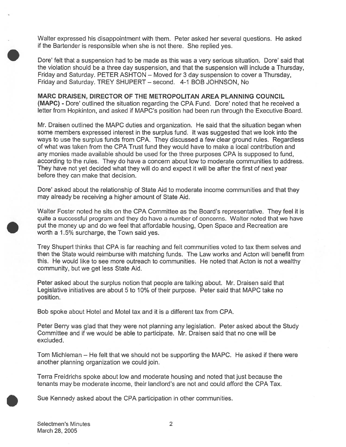Walter expressed his disappointment with them. Peter asked her several questions. He asked if the Bartender is responsible when she is not there. She replied yes.

Dore' felt that <sup>a</sup> suspension had to be made as this was <sup>a</sup> very serious situation. Dore' said that the violation should be <sup>a</sup> three day suspension, and that the suspension will include <sup>a</sup> Thursday, Friday and Saturday. PETER ASHTON — Moved for 3 day suspension to covet <sup>a</sup> Thursday, Friday and Saturday. TREY SHUPERT — second. 4-1 BOB JOHNSON, No

MARC DRAISEN, DIRECTOR OF THE METROPOLITAN AREA PLANNING COUNCIL (MAPC) - Dore' outlined the situation regarding the CPA Fund. Dore' noted that he received <sup>a</sup> letter from Hopkinton, and asked if MAPC's position had been run through the Executive Board.

Mr. Draisen outlined the MAPC duties and organization. He said that the situation began when some members expressed interest in the surplus fund. It was suggested that we look into the ways to use the surplus funds from CPA. They discussed <sup>a</sup> few clear ground rules. Regardless of what was taken from the CPA Trust fund they would have to make <sup>a</sup> local contribution and any monies made available should be used for the three purposes CPA is supposed to fund, according to the rules. They do have <sup>a</sup> concern about low to moderate communities to address. They have not ye<sup>t</sup> decided what they will do and expec<sup>t</sup> it will be after the first of next year before they can make that decision.

Dore' asked about the relationship of State Aid to moderate income communities and that they may already be receiving <sup>a</sup> higher amount of State Aid.

Walter Foster noted he sits on the CPA Committee as the Board's representative. They feel it is quite <sup>a</sup> successful program and they do have <sup>a</sup> number of concerns. Walter noted that we have pu<sup>t</sup> the money up and do we feel that affordable housing, Open Space and Recreation are worth a 1.5% surcharge, the Town said yes.

Trey Shupert thinks that CPA is far reaching and felt communities voted to tax them selves and then the State would reimburse with matching funds. The Law works and Acton will benefit from this. He would like to see more outreach to communities. He noted that Acton is not <sup>a</sup> wealthy community, but we ge<sup>t</sup> less State Aid.

Peter asked about the surplus notion that people are talking about. Mr. Draisen said that Legislative initiatives are about 5 to 10% of their purpose. Peter said that MAPC take no position.

Bob spoke about Hotel and Motel tax and it is <sup>a</sup> different tax from CPA.

Peter Berry was glad that they were not planning any legislation. Peter asked about the Study Committee and if we would be able to participate. Mr. Draisen said that no one will be excluded.

Tom Michieman — He felt that we should not be supporting the MAPC. He asked if there were another planning organization we could join.

Terra Freidrichs spoke about low and moderate housing and noted that just because the tenants may be moderate income, their landlord's are not and could afford the CPA Tax.

Sue Kennedy asked about the CPA participation in other communities.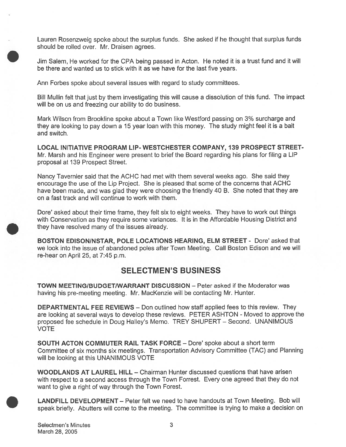Lauren Rosenzweig spoke about the surplus funds. She asked if he thought that surplus funds should be rolled over. Mr. Draisen agrees.

Jim Salem, He worked for the CPA being passed in Acton. He noted it is <sup>a</sup> trust fund and it will be there and wanted us to stick with it as we have for the last five years.

Ann Forbes spoke about several issues with regard to study committees.

Bill Mullin felt that just by them investigating this will cause <sup>a</sup> dissolution of this fund. The impact will be on us and freezing our ability to do business.

Mark Wilson from Brookline spoke about <sup>a</sup> Town like Westford passing on 3% surcharge and they are looking to pay down <sup>a</sup> 15 year loan with this money. The study might feel it is <sup>a</sup> bait and switch.

LOCAL INITIATIVE PROGRAM LIP- WESTCHESTER COMPANY, 139 PROSPECT STREET Mr. Marsh and his Engineer were presen<sup>t</sup> to brief the Board regarding his plans for filing <sup>a</sup> LIP proposal at 139 Prospect Street.

Nancy Tavernier said that the ACHC had met with them several weeks ago. She said they encourage the use of the Lip Project. She is pleased that some of the concerns that ACHC have been made, and was glad they were choosing the friendly 40 B. She noted that they are on <sup>a</sup> fast track and will continue to work with them.

Dore' asked about their time frame, they felt six to eight weeks. They have to work out things with Conservation as they require some variances. It is in the Affordable Housing District and they have resolved many of the issues already.

BOSTON EDISON/NSTAR, POLE LOCATIONS HEARING, ELM STREET - Dore' asked that we look into the issue of abandoned poles after Town Meeting. Call Boston Edison and we will re-hear on April 25, at 7:45 p.m.

# SELECTMEN'S BUSINESS

TOWN MEETING/BUDGET/WARRANT DISCUSSION - Peter asked if the Moderator was having his pre-meeting meeting. Mt. MacKenzie will be contacting Mr. Hunter.

DEPARTMENTAL FEE REVIEWS — Don outlined how staff applied fees to this review. They are looking at several ways to develop these reviews. PETER ASHTON - Moved to approve the proposed fee schedule in Doug Halley's Memo. TREY SHUPERT — Second. UNANIMOUS VOTE

SOUTH ACTON COMMUTER RAIL TASK FORCE — Dote' spoke about <sup>a</sup> short term Committee of six months six meetings. Transportation Advisory Committee (TAC) and Planning will be looking at this UNANIMOUS VOTE

WOODLANDS AT LAUREL HILL — Chairman Hunter discussed questions that have arisen with respec<sup>t</sup> to <sup>a</sup> second access through the Town Forrest. Every one agreed that they do not want to give <sup>a</sup> right of way through the Town Forest.

LANDFILL DEVELOPMENT — Peter felt we need to have handouts at Town Meeting. Bob will spea<sup>k</sup> briefly. Abutters will come to the meeting. The committee is trying to make <sup>a</sup> decision on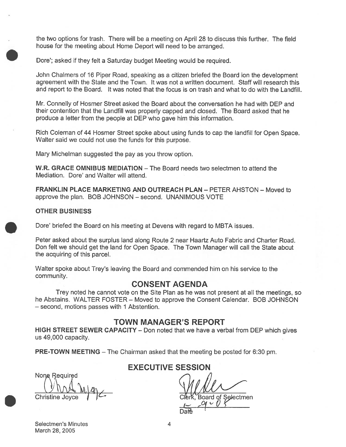the two options for trash. There will be <sup>a</sup> meeting on April 28 to discuss this further. The field house for the meeting about Home Deport will need to be arranged.

Dore'; asked if they felt a Saturday budget Meeting would be required.

John Chalmers of 16 Piper Road, speaking as <sup>a</sup> citizen briefed the Board ion the development agreemen<sup>t</sup> with the State and the Town. It was not <sup>a</sup> written document. Staff will research this and repor<sup>t</sup> to the Board. It was noted that the focus is on trash and what to do with the Landfill. the two options for trash. There will be a meeting on April 28 to discuss this<br>house for the meeting about Home Deport will meet to be arranged.<br>Done'; asked if they felt a Saturaty budget Meleing would be required.<br>John C

Mr. Connelly of Hosmer Street asked the Board about the conversation he had with DEP and their contention that the Landfill was properly capped and closed. The Board asked that he produce <sup>a</sup> letter from the people at DEP who gave him this information.

Rich Coleman of <sup>44</sup> Hosmer Street spoke about using funds to cap the landfill for Open Space. Walter said we could not use the funds for this purpose.

Mary Michelman suggested the pay as you throw option.

W.R. GRACE OMNIBUS MEDIATION — The Board needs two selectmen to attend the Mediation. Dore' and Walter will attend.

FRANKLIN PLACE MARKETING AND OUTREACH PLAN — PETER AHSTON — Moved to approve the plan. BOB JOHNSON — second. UNANIMOUS VOTE

#### OTHER BUSINESS

Dore' briefed the Board on his meeting at Devens with regard to MBTA issues.

Peter asked about the surplus land along Route 2 near Haartz Auto Fabric and Charter Road. Don felt we should ge<sup>t</sup> the land for Open Space. The Town Manager will call the State about the acquiring of this parcel.

Walter spoke about Trey's leaving the Board and commended him on his service to the community.

#### CONSENT AGENDA

Trey noted he cannot vote on the Site Plan as he was not presen<sup>t</sup> at all the meetings, so he Abstains. WALTER FOSTER — Moved to approve the Consent Calendar. BOB JOHNSON — second, motions passes with 1 Abstention.

#### TOWN MANAGER'S REPORT

HIGH STREET SEWER CAPACITY — Don noted that we have <sup>a</sup> verbal from DEP which gives us 49,000 capacity.

PRE-TOWN MEETING — The Chairman asked that the meeting be posted for 6:30 pm.

Christine Joyce  $\int$   $\int$   $\int$  compared by Clerk, Board of Selectmen

#### Selectmen's Minutes 4 March 28, 2005

## EXECUTIVE SESSION

-Daŧ€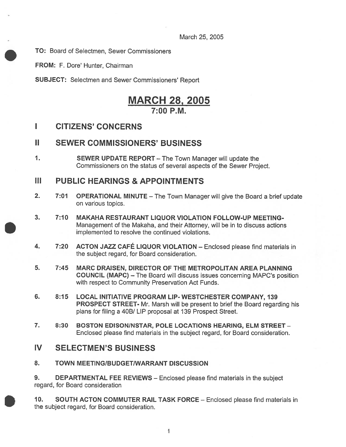March 25, 2005

TO: Board of Selectmen, Sewer Commissioners

FROM: F. Dore' Hunter, Chairman

SUBJECT: Selectmen and Sewer Commissioners' Report

# MARCH 28, 2005  $7:00 P M$

### I CITIZENS' CONCERNS

#### II SEWER COMMISSIONERS' BUSINESS

1. SEWER UPDATE REPORT — The Town Manager will update the Commissioners on the status of several aspects of the Sewer Project.

### III PUBLIC HEARINGS & APPOINTMENTS

- 2. 7:01 OPERATIONAL MINUTE The Town Manager will give the Board a brief update on various topics.
- 3. 7:10 MAKAHA RESTAURANT LIQUOR VIOLATION FOLLOW-UP MEETING-Management of the Makaha, and their Attorney, will be in to discuss actions implemented to resolve the continued violations.
- 4. 7:20 ACTON JAZZ CAFÉ LIQUOR VIOLATION Enclosed <sup>p</sup>lease find materials in the subject regard, for Board consideration.
- 5. 7:45 MARC DRAISEN, DIRECTOR OF THE METROPOLITAN AREA PLANNING COUNCIL (MAPC) — The Board will discuss issues concerning MAPC's position with respec<sup>t</sup> to Community Preservation Act Funds.
- 6. 8:15 LOCAL INITIATIVE PROGRAM LIP-WESTCHESTER COMPANY, 139 PROSPECT STREET- Mr. Marsh will be presen<sup>t</sup> to brief the Board regarding his plans for filing <sup>a</sup> 40B/ LIP proposal at 139 Prospect Street.
- 7. 8:30 BOSTON EDISON/NSTAR, POLE LOCATIONS HEARING, ELM STREET Enclosed please find materials in the subject regard, for Board consideration.

#### IV SELECTMEN'S BUSINESS

8. TOWN MEETING/BUDGET/WARRANT DISCUSSION

9. DEPARTMENTAL FEE REVIEWS – Enclosed please find materials in the subject regard, for Board consideration

10. SOUTH ACTON COMMUTER RAIL TASK FORCE — Enclosed please find materials in the subject regard, for Board consideration.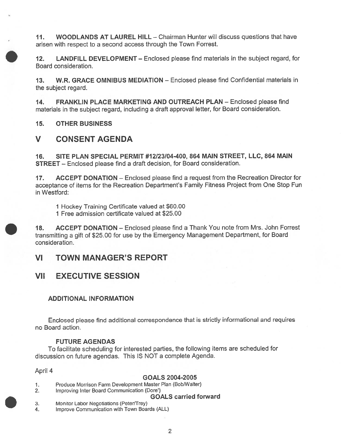11. WOODLANDS AT LAUREL HILL - Chairman Hunter will discuss questions that have arisen with respec<sup>t</sup> to <sup>a</sup> second access through the Town Forrest.

12. LANDFILL DEVELOPMENT — Enclosed please find materials in the subject regard, for Board consideration.

13. W.R. GRACE OMNIBUS MEDIATION — Enclosed please find Confidential materials in the subject regard.

14. FRANKLIN PLACE MARKETING AND OUTREACH PLAN — Enclosed please find materials in the subject regard, including <sup>a</sup> draft approva<sup>l</sup> letter, for Board consideration.

15. OTHER BUSINESS

# V CONSENT AGENDA

16. SITE PLAN SPECIAL PERMIT #12/23/04-400, 864 MAIN STREET, LLC, 864 MAIN STREET — Enclosed please find <sup>a</sup> draft decision, for Board consideration.

17. ACCEPT DONATION — Enclosed please find <sup>a</sup> reques<sup>t</sup> from the Recreation Director for acceptance of items for the Recreation Department's Family Fitness Project from One Stop Fun in Westford:

1 Hockey Training Certificate valued at \$60.00

1 Free admission certificate valued at \$25.00

18. ACCEPT DONATION — Enclosed <sup>p</sup>lease find <sup>a</sup> Thank You note from Mrs. John Forrest transmitting <sup>a</sup> <sup>g</sup>ift of \$25.00 for use by the Emergency Management Department, for Board consideration.

VI TOWN MANAGER'S REPORT

## VII EXECUTIVE SESSION

#### ADDITIONAL INFORMATION

Enclosed <sup>p</sup>lease find additional correspondence that is strictly informational and requires no Board action.

#### FUTURE AGENDAS

To facilitate scheduling for interested parties, the following items are scheduled for discussion on future agendas. This IS NOT <sup>a</sup> complete Agenda.

April 4

#### GOALS 2004-2005

1. Produce Morrison Farm Development Master Plan (Bob/Walter)

2. Improving Inter Board Communication (Dore')

#### GOALS carried forward

- 3. Monitor Labor Negotiations (Peter/Trey)
- 4. Improve Communication with Town Boards (ALL)